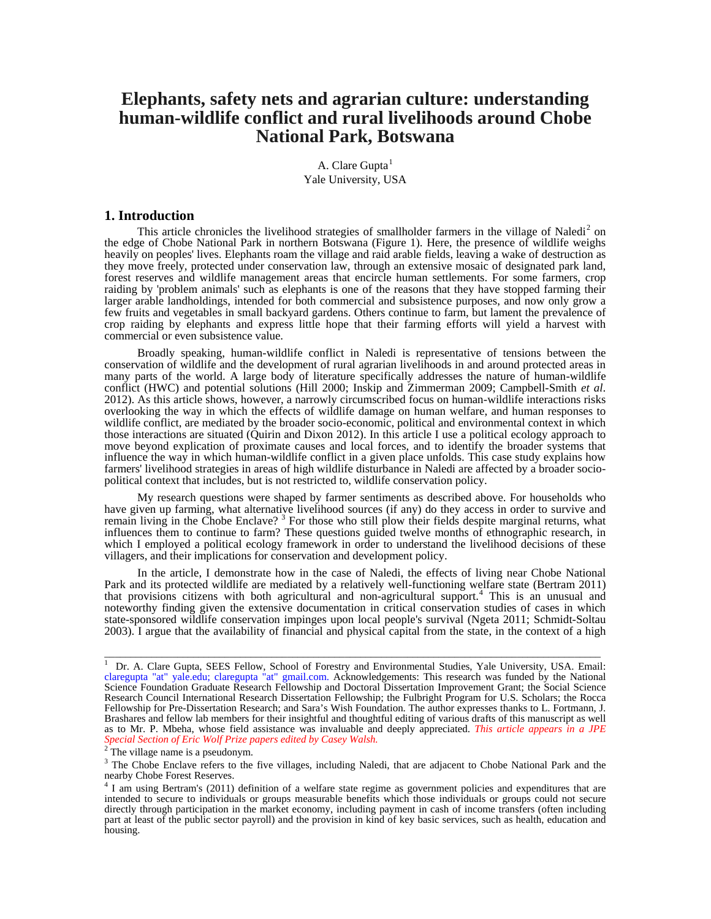# **Elephants, safety nets and agrarian culture: understanding human-wildlife conflict and rural livelihoods around Chobe National Park, Botswana**

A. Clare  $Gupta<sup>1</sup>$  $Gupta<sup>1</sup>$  $Gupta<sup>1</sup>$ Yale University, USA

### **1. Introduction**

This article chronicles the livelihood strategies of smallholder farmers in the village of Naledi<sup>[2](#page-0-1)</sup> on the edge of Chobe National Park in northern Botswana (Figure 1). Here, the presence of wildlife weighs heavily on peoples' lives. Elephants roam the village and raid arable fields, leaving a wake of destruction as they move freely, protected under conservation law, through an extensive mosaic of designated park land, forest reserves and wildlife management areas that encircle human settlements. For some farmers, crop raiding by 'problem animals' such as elephants is one of the reasons that they have stopped farming their larger arable landholdings, intended for both commercial and subsistence purposes, and now only grow a few fruits and vegetables in small backyard gardens. Others continue to farm, but lament the prevalence of crop raiding by elephants and express little hope that their farming efforts will yield a harvest with commercial or even subsistence value.

Broadly speaking, human-wildlife conflict in Naledi is representative of tensions between the conservation of wildlife and the development of rural agrarian livelihoods in and around protected areas in many parts of the world. A large body of literature specifically addresses the nature of human-wildlife conflict (HWC) and potential solutions (Hill 2000; Inskip and Zimmerman 2009; Campbell-Smith *et al*. 2012). As this article shows, however, a narrowly circumscribed focus on human-wildlife interactions risks overlooking the way in which the effects of wildlife damage on human welfare, and human responses to wildlife conflict, are mediated by the broader socio-economic, political and environmental context in which those interactions are situated (Quirin and Dixon 2012). In this article I use a political ecology approach to move beyond explication of proximate causes and local forces, and to identify the broader systems that influence the way in which human-wildlife conflict in a given place unfolds. This case study explains how farmers' livelihood strategies in areas of high wildlife disturbance in Naledi are affected by a broader sociopolitical context that includes, but is not restricted to, wildlife conservation policy.

My research questions were shaped by farmer sentiments as described above. For households who have given up farming, what alternative livelihood sources (if any) do they access in order to survive and remain living in the Chobe Enclave?<sup>[3](#page-0-2)</sup> For those who still plow their fields despite marginal returns, what influences them to continue to farm? These questions guided twelve months of ethnographic research, in which I employed a political ecology framework in order to understand the livelihood decisions of these villagers, and their implications for conservation and development policy.

In the article, I demonstrate how in the case of Naledi, the effects of living near Chobe National Park and its protected wildlife are mediated by a relatively well-functioning welfare state (Bertram 2011) that provisions citizens with both agricultural and non-agricultural support.<sup>[4](#page-0-3)</sup> This is an unusual and noteworthy finding given the extensive documentation in critical conservation studies of cases in which state-sponsored wildlife conservation impinges upon local people's survival (Ngeta 2011; Schmidt-Soltau 2003). I argue that the availability of financial and physical capital from the state, in the context of a high

<span id="page-0-0"></span><sup>&</sup>lt;sup>1</sup> Dr. A. Clare Gupta, SEES Fellow, School of Forestry and Environmental Studies, Yale University, USA. Email: claregupta "at" yale.edu; claregupta "at" gmail.com. Acknowledgements: This research was funded by the National Science Foundation Graduate Research Fellowship and Doctoral Dissertation Improvement Grant; the Social Science Research Council International Research Dissertation Fellowship; the Fulbright Program for U.S. Scholars; the Rocca Fellowship for Pre-Dissertation Research; and Sara's Wish Foundation. The author expresses thanks to L. Fortmann, J. Brashares and fellow lab members for their insightful and thoughtful editing of various drafts of this manuscript as well as to Mr. P. Mbeha, whose field assistance was invaluable and deeply appreciated. *This article appears in a JPE Special Section of Eric Wolf Prize papers edited by Casey Walsh.*

 $2$  The village name is a pseudonym.

<span id="page-0-2"></span><span id="page-0-1"></span><sup>&</sup>lt;sup>3</sup> The Chobe Enclave refers to the five villages, including Naledi, that are adjacent to Chobe National Park and the nearby Chobe Forest Reserves.

<span id="page-0-3"></span><sup>&</sup>lt;sup>4</sup> I am using Bertram's (2011) definition of a welfare state regime as government policies and expenditures that are intended to secure to individuals or groups measurable benefits which those individuals or groups could not secure directly through participation in the market economy, including payment in cash of income transfers (often including part at least of the public sector payroll) and the provision in kind of key basic services, such as health, education and housing.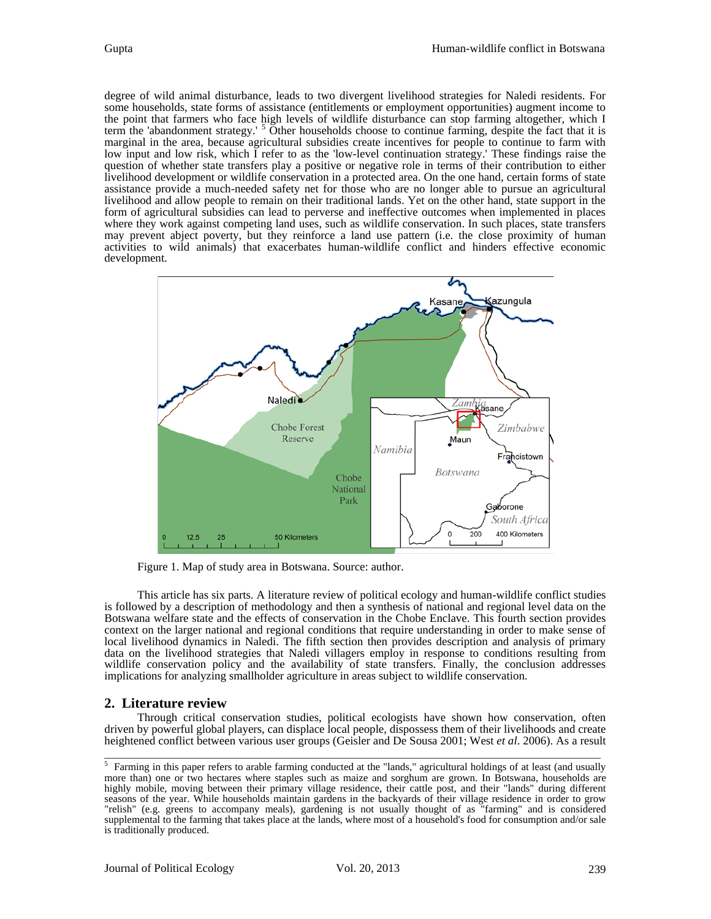degree of wild animal disturbance, leads to two divergent livelihood strategies for Naledi residents. For some households, state forms of assistance (entitlements or employment opportunities) augment income to the point that farmers who face high levels of wildlife disturbance can stop farming altogether, which I term the 'abandonment strategy.' <sup>[5](#page-1-0)</sup> Other households choose to continue farming, despite the fact that it is marginal in the area, because agricultural subsidies create incentives for people to continue to farm with low input and low risk, which I refer to as the 'low-level continuation strategy.' These findings raise the question of whether state transfers play a positive or negative role in terms of their contribution to either livelihood development or wildlife conservation in a protected area. On the one hand, certain forms of state assistance provide a much-needed safety net for those who are no longer able to pursue an agricultural livelihood and allow people to remain on their traditional lands. Yet on the other hand, state support in the form of agricultural subsidies can lead to perverse and ineffective outcomes when implemented in places where they work against competing land uses, such as wildlife conservation. In such places, state transfers may prevent abject poverty, but they reinforce a land use pattern (i.e. the close proximity of human activities to wild animals) that exacerbates human-wildlife conflict and hinders effective economic development.



Figure 1. Map of study area in Botswana. Source: author.

This article has six parts. A literature review of political ecology and human-wildlife conflict studies is followed by a description of methodology and then a synthesis of national and regional level data on the Botswana welfare state and the effects of conservation in the Chobe Enclave. This fourth section provides context on the larger national and regional conditions that require understanding in order to make sense of local livelihood dynamics in Naledi. The fifth section then provides description and analysis of primary data on the livelihood strategies that Naledi villagers employ in response to conditions resulting from wildlife conservation policy and the availability of state transfers. Finally, the conclusion addresses implications for analyzing smallholder agriculture in areas subject to wildlife conservation.

### **2. Literature review**

Through critical conservation studies, political ecologists have shown how conservation, often driven by powerful global players, can displace local people, dispossess them of their livelihoods and create heightened conflict between various user groups (Geisler and De Sousa 2001; West *et al*. 2006). As a result

<span id="page-1-0"></span> $<sup>5</sup>$  Farming in this paper refers to arable farming conducted at the "lands," agricultural holdings of at least (and usually</sup> more than) one or two hectares where staples such as maize and sorghum are grown. In Botswana, households are highly mobile, moving between their primary village residence, their cattle post, and their "lands" during different seasons of the year. While households maintain gardens in the backyards of their village residence in order to grow "relish" (e.g. greens to accompany meals), gardening is not usually thought of as "farming" and is considered supplemental to the farming that takes place at the lands, where most of a household's food for consumption and/or sale is traditionally produced.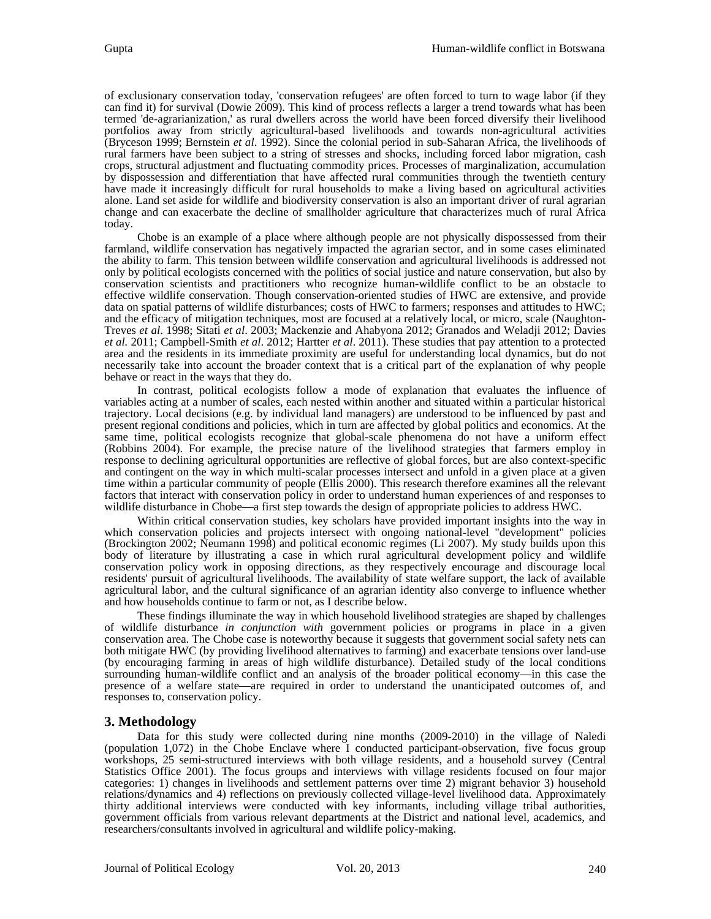of exclusionary conservation today, 'conservation refugees' are often forced to turn to wage labor (if they can find it) for survival (Dowie 2009). This kind of process reflects a larger a trend towards what has been termed 'de-agrarianization,' as rural dwellers across the world have been forced diversify their livelihood portfolios away from strictly agricultural-based livelihoods and towards non-agricultural activities (Bryceson 1999; Bernstein *et al*. 1992). Since the colonial period in sub-Saharan Africa, the livelihoods of rural farmers have been subject to a string of stresses and shocks, including forced labor migration, cash crops, structural adjustment and fluctuating commodity prices. Processes of marginalization, accumulation by dispossession and differentiation that have affected rural communities through the twentieth century have made it increasingly difficult for rural households to make a living based on agricultural activities alone. Land set aside for wildlife and biodiversity conservation is also an important driver of rural agrarian change and can exacerbate the decline of smallholder agriculture that characterizes much of rural Africa today.

Chobe is an example of a place where although people are not physically dispossessed from their farmland, wildlife conservation has negatively impacted the agrarian sector, and in some cases eliminated the ability to farm. This tension between wildlife conservation and agricultural livelihoods is addressed not only by political ecologists concerned with the politics of social justice and nature conservation, but also by conservation scientists and practitioners who recognize human-wildlife conflict to be an obstacle to effective wildlife conservation. Though conservation-oriented studies of HWC are extensive, and provide data on spatial patterns of wildlife disturbances; costs of HWC to farmers; responses and attitudes to HWC; and the efficacy of mitigation techniques, most are focused at a relatively local, or micro, scale (Naughtonand the efficacy of mitigation techniques, most are focused at a relatively local, or micro, scale (Naughton-<br>Treves et al. 1998; Sitati et al. 2003; Mackenzie and Ahabyona 2012; Granados and Weladji 2012; Davies *et al.* 2011; Campbell-Smith *et al*. 2012; Hartter *et al*. 2011). These studies that pay attention to a protected area and the residents in its immediate proximity are useful for understanding local dynamics, but do not necessarily take into account the broader context that is a critical part of the explanation of why people behave or react in the ways that they do.

In contrast, political ecologists follow a mode of explanation that evaluates the influence of variables acting at a number of scales, each nested within another and situated within a particular historical trajectory. Local decisions (e.g. by individual land managers) are understood to be influenced by past and present regional conditions and policies, which in turn are affected by global politics and economics. At the same time, political ecologists recognize that global-scale phenomena do not have a uniform effect (Robbins 2004). For example, the precise nature of the livelihood strategies that farmers employ in response to declining agricultural opportunities are reflective of global forces, but are also context-specific and contingent on the way in which multi-scalar processes intersect and unfold in a given place at a given time within a particular community of people (Ellis 2000). This research therefore examines all the relevant factors that interact with conservation policy in order to understand human experiences of and responses to wildlife disturbance in Chobe—a first step towards the design of appropriate policies to address HWC.

Within critical conservation studies, key scholars have provided important insights into the way in which conservation policies and projects intersect with ongoing national-level "development" policies (Brockington 2002; Neumann 1998) and political economic regimes (Li 2007). My study builds upon this body of literature by illustrating a case in which rural agricultural development policy and wildlife conservation policy work in opposing directions, as they respectively encourage and discourage local residents' pursuit of agricultural livelihoods. The availability of state welfare support, the lack of available agricultural labor, and the cultural significance of an agrarian identity also converge to influence whether and how households continue to farm or not, as I describe below.

These findings illuminate the way in which household livelihood strategies are shaped by challenges of wildlife disturbance *in conjunction with* government policies or programs in place in a given conservation area. The Chobe case is noteworthy because it suggests that government social safety nets can both mitigate HWC (by providing livelihood alternatives to farming) and exacerbate tensions over land-use (by encouraging farming in areas of high wildlife disturbance). Detailed study of the local conditions surrounding human-wildlife conflict and an analysis of the broader political economy—in this case the presence of a welfare state—are required in order to understand the unanticipated outcomes of, and responses to, conservation policy.

# **3. Methodology**

Data for this study were collected during nine months (2009-2010) in the village of Naledi (population 1,072) in the Chobe Enclave where I conducted participant-observation, five focus group workshops, 25 semi-structured interviews with both village residents, and a household survey (Central Statistics Office 2001). The focus groups and interviews with village residents focused on four major categories: 1) changes in livelihoods and settlement patterns over time 2) migrant behavior 3) household relations/dynamics and 4) reflections on previously collected village-level livelihood data. Approximately thirty additional interviews were conducted with key informants, including village tribal authorities, government officials from various relevant departments at the District and national level, academics, and researchers/consultants involved in agricultural and wildlife policy-making.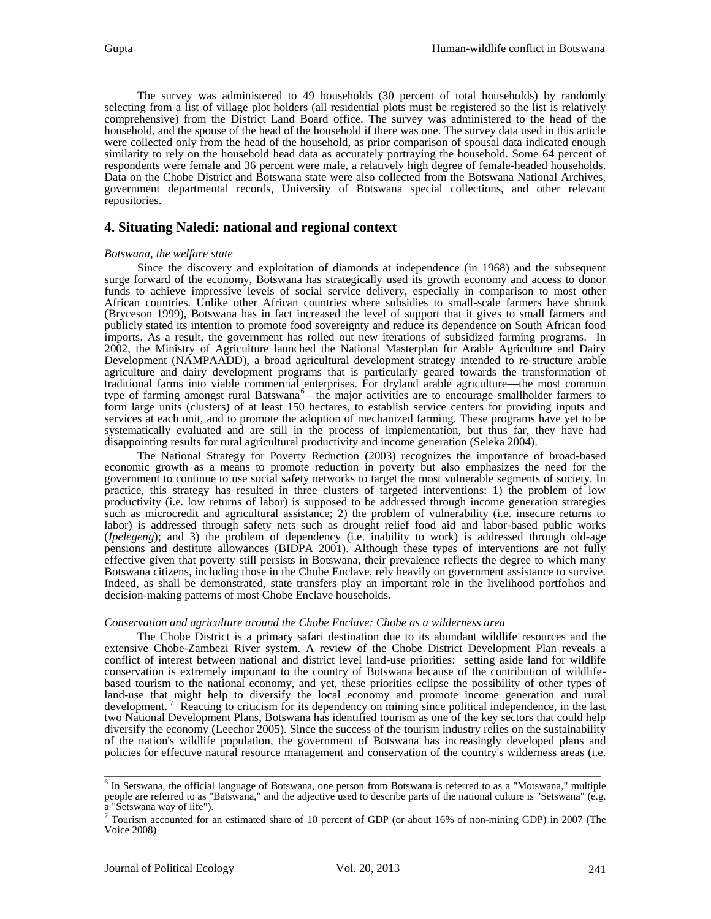The survey was administered to 49 households (30 percent of total households) by randomly selecting from a list of village plot holders (all residential plots must be registered so the list is relatively comprehensive) from the District Land Board office. The survey was administered to the head of the household, and the spouse of the head of the household if there was one. The survey data used in this article were collected only from the head of the household, as prior comparison of spousal data indicated enough similarity to rely on the household head data as accurately portraying the household. Some 64 percent of respondents were female and 36 percent were male, a relatively high degree of female-headed households. Data on the Chobe District and Botswana state were also collected from the Botswana National Archives, government departmental records, University of Botswana special collections, and other relevant repositories.

### **4. Situating Naledi: national and regional context**

#### *Botswana, the welfare state*

Since the discovery and exploitation of diamonds at independence (in 1968) and the subsequent surge forward of the economy, Botswana has strategically used its growth economy and access to donor funds to achieve impressive levels of social service delivery, especially in comparison to most other African countries. Unlike other African countries where subsidies to small-scale farmers have shrunk (Bryceson 1999), Botswana has in fact increased the level of support that it gives to small farmers and publicly stated its intention to promote food sovereignty and reduce its dependence on South African food imports. As a result, the government has rolled out new iterations of subsidized farming programs. In 2002, the Ministry of Agriculture launched the National Masterplan for Arable Agriculture and Dairy Development (NAMPAADD), a broad agricultural development strategy intended to re-structure arable agriculture and dairy development programs that is particularly geared towards the transformation of traditional farms into viable commercial enterprises. For dryland arable agriculture—the most common type of farming amongst rural Batswana<sup>[6](#page-3-0)</sup>—the major activities are to encourage smallholder farmers to form large units (clusters) of at least 150 hectares, to establish service centers for providing inputs and services at each unit, and to promote the adoption of mechanized farming. These programs have yet to be systematically evaluated and are still in the process of implementation, but thus far, they have had disappointing results for rural agricultural productivity and income generation (Seleka 2004).

The National Strategy for Poverty Reduction (2003) recognizes the importance of broad-based economic growth as a means to promote reduction in poverty but also emphasizes the need for the government to continue to use social safety networks to target the most vulnerable segments of society. In practice, this strategy has resulted in three clusters of targeted interventions: 1) the problem of low productivity (i.e. low returns of labor) is supposed to be addressed through income generation strategies such as microcredit and agricultural assistance; 2) the problem of vulnerability (i.e. insecure returns to labor) is addressed through safety nets such as drought relief food aid and labor-based public works (*Ipelegeng*); and 3) the problem of dependency (i.e. inability to work) is addressed through old-age pensions and destitute allowances (BIDPA 2001). Although these types of interventions are not fully effective given that poverty still persists in Botswana, their prevalence reflects the degree to which many Botswana citizens, including those in the Chobe Enclave, rely heavily on government assistance to survive. Indeed, as shall be demonstrated, state transfers play an important role in the livelihood portfolios and decision-making patterns of most Chobe Enclave households.

#### *Conservation and agriculture around the Chobe Enclave: Chobe as a wilderness area*

The Chobe District is a primary safari destination due to its abundant wildlife resources and the extensive Chobe-Zambezi River system. A review of the Chobe District Development Plan reveals a conflict of interest between national and district level land-use priorities: setting aside land for wildlife based tourism to the national economy, and yet, these priorities eclipse the possibility of other types of land-use that might help to diversify the local economy and promote income generation and rural development. Reacting to criticism for its dependency on mining since political independence, in the last two National Development Plans, Botswana has identified tourism as one of the key sectors that could help diversify the economy (Leechor 2005). Since the success of the tourism industry relies on the sustainability of the nation's wildlife population, the government of Botswana has increasingly developed plans and policies for effective natural resource management and conservation of the country's wilderness areas (i.e.

<span id="page-3-0"></span><sup>&</sup>lt;sup>6</sup> In Setswana, the official language of Botswana, one person from Botswana is referred to as a "Motswana," multiple people are referred to as "Batswana," and the adjective used to describe parts of the national culture is "Setswana" (e.g. a "Setswana way of life").

<span id="page-3-1"></span><sup>7</sup> Tourism accounted for an estimated share of 10 percent of GDP (or about 16% of non-mining GDP) in 2007 (The Voice 2008)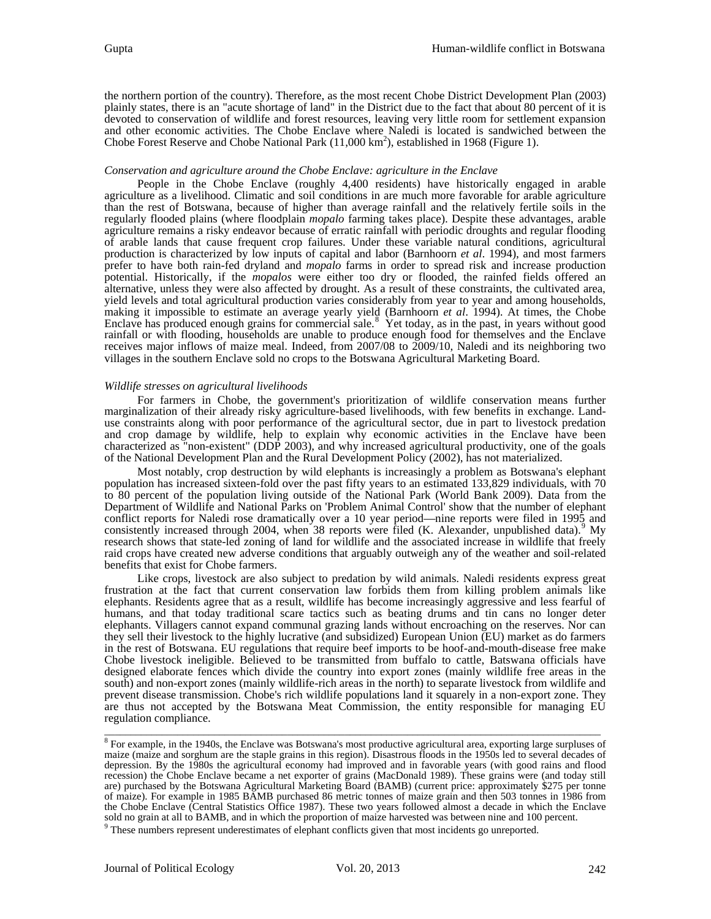the northern portion of the country). Therefore, as the most recent Chobe District Development Plan (2003) plainly states, there is an "acute shortage of land" in the District due to the fact that about 80 percent of it is devoted to conservation of wildlife and forest resources, leaving very little room for settlement expansion and other economic activities. The Chobe Enclave where Naledi is located is sandwiched between the Chobe Forest Reserve and Chobe National Park  $(11,000 \text{ km}^2)$ , established in 1968 (Figure 1).

#### *Conservation and agriculture around the Chobe Enclave: agriculture in the Enclave*

People in the Chobe Enclave (roughly 4,400 residents) have historically engaged in arable agriculture as a livelihood. Climatic and soil conditions in are much more favorable for arable agriculture than the rest of Botswana, because of higher than average rainfall and the relatively fertile soils in the regularly flooded plains (where floodplain *mopalo* farming takes place). Despite these advantages, arable agriculture remains a risky endeavor because of erratic rainfall with periodic droughts and regular flooding of arable lands that cause frequent crop failures. Under these variable natural conditions, agricultural production is characterized by low inputs of capital and labor (Barnhoorn *et al*. 1994), and most farmers prefer to have both rain-fed dryland and *mopalo* farms in order to spread risk and increase production potential. Historically, if the *mopalos* were either too dry or flooded, the rainfed fields offered an alternative, unless they were also affected by drought. As a result of these constraints, the cultivated area, yield levels and total agricultural production varies considerably from year to year and among households, making it impossible to estimate an average yearly yield (Barnhoorn *et al*. 1994). At times, the Chobe Enclave has produced enough grains for commercial sale.<sup>[8](#page-4-0)</sup> Yet today, as in the past, in years without good rainfall or with flooding, households are unable to produce enough food for themselves and the Enclave receives major inflows of maize meal. Indeed, from 2007/08 to 2009/10, Naledi and its neighboring two villages in the southern Enclave sold no crops to the Botswana Agricultural Marketing Board.

#### *Wildlife stresses on agricultural livelihoods*

For farmers in Chobe, the government's prioritization of wildlife conservation means further marginalization of their already risky agriculture-based livelihoods, with few benefits in exchange. Landuse constraints along with poor performance of the agricultural sector, due in part to livestock predation and crop damage by wildlife, help to explain why economic activities in the Enclave have been characterized as "non-existent" (DDP 2003), and why increased agricultural productivity, one of the goals of the National Development Plan and the Rural Development Policy (2002), has not materialized.

Most notably, crop destruction by wild elephants is increasingly a problem as Botswana's elephant population has increased sixteen-fold over the past fifty years to an estimated 133,829 individuals, with 70 to 80 percent of the population living outside of the National Park (World Bank 2009). Data from the Department of Wildlife and National Parks on 'Problem Animal Control' show that the number of elephant conflict reports for Naledi rose dramatically over a 10 year period—nine reports were filed in 1995 and consistently increased through 2004, when 38 reports were filed (K. Alexander, unpublished data).<sup>[9](#page-4-1)</sup> My research shows that state-led zoning of land for wildlife and the associated increase in wildlife that freely raid crops have created new adverse conditions that arguably outweigh any of the weather and soil-related benefits that exist for Chobe farmers.

Like crops, livestock are also subject to predation by wild animals. Naledi residents express great frustration at the fact that current conservation law forbids them from killing problem animals like elephants. Residents agree that as a result, wildlife has become increasingly aggressive and less fearful of humans, and that today traditional scare tactics such as beating drums and tin cans no longer deter elephants. Villagers cannot expand communal grazing lands without encroaching on the reserves. Nor can they sell their livestock to the highly lucrative (and subsidized) European Union (EU) market as do farmers in the rest of Botswana. EU regulations that require beef imports to be hoof-and-mouth-disease free make Chobe livestock ineligible. Believed to be transmitted from buffalo to cattle, Batswana officials have designed elaborate fences which divide the country into export zones (mainly wildlife free areas in the south) and non-export zones (mainly wildlife-rich areas in the north) to separate livestock from wildlife and prevent disease transmission. Chobe's rich wildlife populations land it squarely in a non-export zone. They are thus not accepted by the Botswana Meat Commission, the entity responsible for managing EU regulation compliance.

<span id="page-4-0"></span><sup>&</sup>lt;sup>8</sup> For example, in the 1940s, the Enclave was Botswana's most productive agricultural area, exporting large surpluses of maize (maize and sorghum are the staple grains in this region). Disastrous floods in the 1950s led to several decades of depression. By the 1980s the agricultural economy had improved and in favorable years (with good rains and flood recession) the Chobe Enclave became a net exporter of grains (MacDonald 1989). These grains were (and today still are) purchased by the Botswana Agricultural Marketing Board (BAMB) (current price: approximately \$275 per to of maize). For example in 1985 BAMB purchased 86 metric tonnes of maize grain and then 503 tonnes in 1986 from the Chobe Enclave (Central Statistics Office 1987). These two years followed almost a decade in which the Enclave sold no grain at all to BAMB, and in which the proportion of maize harvested was between nine and 100 percent.

<span id="page-4-1"></span><sup>&</sup>lt;sup>9</sup> These numbers represent underestimates of elephant conflicts given that most incidents go unreported.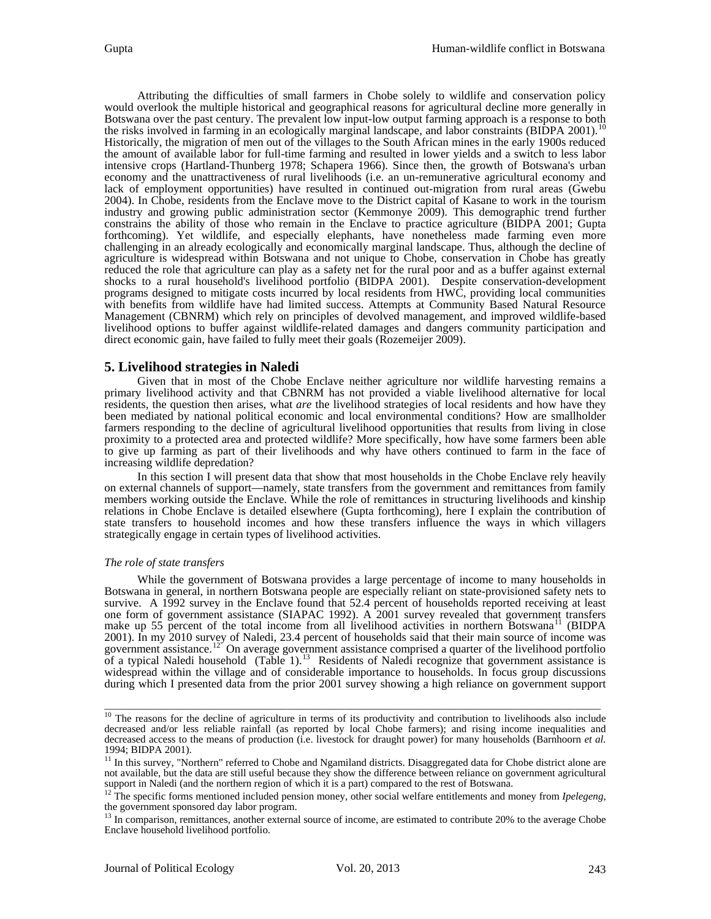Attributing the difficulties of small farmers in Chobe solely to wildlife and conservation policy would overlook the multiple historical and geographical reasons for agricultural decline more generally in Botswana over the past century. The prevalent low input-low output farming approach is a response to both the risks involved in farming in an ecologically marginal landscape, and labor constraints (BIDPA 2001).<sup>[10](#page-5-0)</sup> Historically, the migration of men out of the villages to the South African mines in the early 1900s reduced the amount of available labor for full-time farming and resulted in lower yields and a switch to less labor intensive crops (Hartland-Thunberg 1978; Schapera 1966). Since then, the growth of Botswana's urban economy and the unattractiveness of rural livelihoods (i.e. an un-remunerative agricultural economy and lack of employment opportunities) have resulted in continued out-migration from rural areas (Gwebu 2004). In Chobe, residents from the Enclave move to the District capital of Kasane to work in the tourism industry and growing public administration sector (Kemmonye 2009). This demographic trend further constrains the ability of those who remain in the Enclave to practice agriculture (BIDPA 2001; Gupta forthcoming). Yet wildlife, and especially elephants, have nonetheless made farming even more challenging in an already ecologically and economically marginal landscape. Thus, although the decline of agriculture is widespread within Botswana and not unique to Chobe, conservation in Chobe has greatly reduced the role that agriculture can play as a safety net for the rural poor and as a buffer against external shocks to a rural household's livelihood portfolio (BIDPA 2001). Despite conservation-development programs designed to mitigate costs incurred by local residents from HWC, providing local communities with benefits from wildlife have had limited success. Attempts at Community Based Natural Resource Management (CBNRM) which rely on principles of devolved management, and improved wildlife-based livelihood options to buffer against wildlife-related damages and dangers community participation and direct economic gain, have failed to fully meet their goals (Rozemeijer 2009).

### **5. Livelihood strategies in Naledi**

Given that in most of the Chobe Enclave neither agriculture nor wildlife harvesting remains a primary livelihood activity and that CBNRM has not provided a viable livelihood alternative for local residents, the question then arises, what *are* the livelihood strategies of local residents and how have they been mediated by national political economic and local environmental conditions? How are smallholder farmers responding to the decline of agricultural livelihood opportunities that results from living in close proximity to a protected area and protected wildlife? More specifically, how have some farmers been able to give up farming as part of their livelihoods and why have others continued to farm in the face of increasing wildlife depredation?

In this section I will present data that show that most households in the Chobe Enclave rely heavily on external channels of support—namely, state transfers from the government and remittances from family members working outside the Enclave. While the role of remittances in structuring livelihoods and kinship relations in Chobe Enclave is detailed elsewhere (Gupta forthcoming), here I explain the contribution of state transfers to household incomes and how these transfers influence the ways in which villagers strategically engage in certain types of livelihood activities.

### *The role of state transfers*

While the government of Botswana provides a large percentage of income to many households in Botswana in general, in northern Botswana people are especially reliant on state-provisioned safety nets to survive. A 1992 survey in the Enclave found that 52.4 percent of households reported receiving at least one form of government assistance (SIAPAC 1992). A 2001 survey revealed that government transfers make up 55 percent of the total income from all livelihood activities in northern Botswana<sup>[11](#page-5-1)</sup> (BIDPA 2001). In my 2010 survey of Naledi, 23.4 percent of households said that their main source of income was government assistance.<sup>12</sup> On average government assistance comprised a quarter of the livelihood portfolio of a typical Naledi household  $(Table 1)$ .<sup>[13](#page-5-3)</sup> Residents of Naledi recognize that government assistance is widespread within the village and of considerable importance to households. In focus group discussions during which I presented data from the prior 2001 survey showing a high reliance on government support

<span id="page-5-0"></span> $10$  The reasons for the decline of agriculture in terms of its productivity and contribution to livelihoods also include decreased and/or less reliable rainfall (as reported by local Chobe farmers); and rising income inequalities and decreased access to the means of production (i.e. livestock for draught power) for many households (Barnhoorn *et al.*

<span id="page-5-1"></span><sup>1994;</sup> BIDPA 2001).<br><sup>11</sup> In this survey, "Northern" referred to Chobe and Ngamiland districts. Disaggregated data for Chobe district alone are not available, but the data are still useful because they show the difference between reliance on government agricultural support in Naledi (and the northern region of which it is a part) compared to the rest of Botswana.

<span id="page-5-2"></span><sup>&</sup>lt;sup>12</sup> The specific forms mentioned included pension money, other social welfare entitlements and money from *Ipelegeng*, the government sponsored day labor program.

<span id="page-5-3"></span><sup>&</sup>lt;sup>13</sup> In comparison, remittances, another external source of income, are estimated to contribute 20% to the average Chobe Enclave household livelihood portfolio.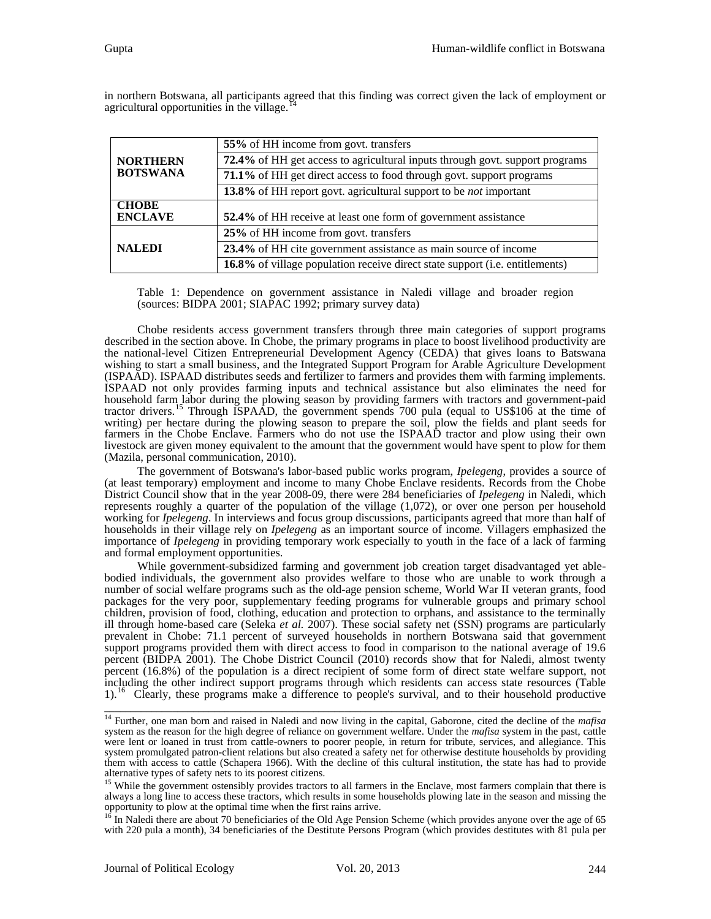|                                    | 55% of HH income from govt. transfers                                        |  |  |
|------------------------------------|------------------------------------------------------------------------------|--|--|
| <b>NORTHERN</b><br><b>BOTSWANA</b> | 72.4% of HH get access to agricultural inputs through govt. support programs |  |  |
|                                    | 71.1% of HH get direct access to food through govt. support programs         |  |  |
|                                    | 13.8% of HH report govt. agricultural support to be <i>not</i> important     |  |  |
| <b>CHOBE</b><br><b>ENCLAVE</b>     | 52.4% of HH receive at least one form of government assistance               |  |  |
|                                    | 25% of HH income from govt. transfers                                        |  |  |
| <b>NALEDI</b>                      | 23.4% of HH cite government assistance as main source of income              |  |  |
|                                    | 16.8% of village population receive direct state support (i.e. entitlements) |  |  |

in northern Botswana, all participants agreed that this finding was correct given the lack of employment or agricultural opportunities in the village.

Table 1: Dependence on government assistance in Naledi village and broader region (sources: BIDPA 2001; SIAPAC 1992; primary survey data)

Chobe residents access government transfers through three main categories of support programs described in the section above. In Chobe, the primary programs in place to boost livelihood productivity are the national-level Citizen Entrepreneurial Development Agency (CEDA) that gives loans to Batswana wishing to start a small business, and the Integrated Support Program for Arable Agriculture Development (ISPAAD). ISPAAD distributes seeds and fertilizer to farmers and provides them with farming implements. ISPAAD not only provides farming inputs and technical assistance but also eliminates the need for household farm labor during the plowing season by providing farmers with tractors and government-paid tractor drivers.<sup>[15](#page-6-1)</sup> Through ISPAAD, the government spends 700 pula (equal to US\$106 at the time of writing) per hectare during the plowing season to prepare the soil, plow the fields and plant seeds for farmers in the Chobe Enclave. Farmers who do not use the ISPAAD tractor and plow using their own livestock are given money equivalent to the amount that the government would have spent to plow for them (Mazila, personal communication, 2010).

The government of Botswana's labor-based public works program, *Ipelegeng*, provides a source of (at least temporary) employment and income to many Chobe Enclave residents. Records from the Chobe District Council show that in the year 2008-09, there were 284 beneficiaries of *Ipelegeng* in Naledi, which represents roughly a quarter of the population of the village (1,072), or over one person per household working for *Ipelegeng*. In interviews and focus group discussions, participants agreed that more than half of households in their village rely on *Ipelegeng* as an important source of income. Villagers emphasized the importance of *Ipelegeng* in providing temporary work especially to youth in the face of a lack of farming and formal employment opportunities.

While government-subsidized farming and government job creation target disadvantaged yet able-<br>bodied individuals, the government also provides welfare to those who are unable to work through a number of social welfare programs such as the old-age pension scheme, World War II veteran grants, food packages for the very poor, supplementary feeding programs for vulnerable groups and primary school children, provision of food, clothing, education and protection to orphans, and assistance to the terminally ill through home-based care (Seleka *et al.* 2007). These social safety net (SSN) programs are particularly prevalent in Chobe: 71.1 percent of surveyed households in northern Botswana said that government support programs provided them with direct access to food in comparison to the national average of 19.6 percent (BIDPA 2001). The Chobe District Council (2010) records show that for Naledi, almost twenty percent (16.8%) of the population is a direct recipient of some form of direct state welfare support, not including the other indirect support programs through which residents can access state resources (Table  $1$ ).<sup>1</sup> [16](#page-6-2) Clearly, these programs make a difference to people's survival, and to their household productive

<span id="page-6-0"></span><sup>14</sup> Further, one man born and raised in Naledi and now living in the capital, Gaborone, cited the decline of the *mafisa*  system as the reason for the high degree of reliance on government welfare. Under the *mafisa* system in the past, cattle were lent or loaned in trust from cattle-owners to poorer people, in return for tribute, services, and allegiance. This system promulgated patron-client relations but also created a safety net for otherwise destitute households by providing them with access to cattle (Schapera 1966). With the decline of this cultural institution, the state has had to provide alternative types of safety nets to its poorest citizens.

<span id="page-6-1"></span><sup>&</sup>lt;sup>15</sup> While the government ostensibly provides tractors to all farmers in the Enclave, most farmers complain that there is always a long line to access these tractors, which results in some households plowing late in the season and missing the

<span id="page-6-2"></span>opportunity to plow at the optimal time when the first rains arrive.<br><sup>16</sup> In Naledi there are about 70 beneficiaries of the Old Age Pension Scheme (which provides anyone over the age of 65 with 220 pula a month), 34 beneficiaries of the Destitute Persons Program (which provides destitutes with 81 pula per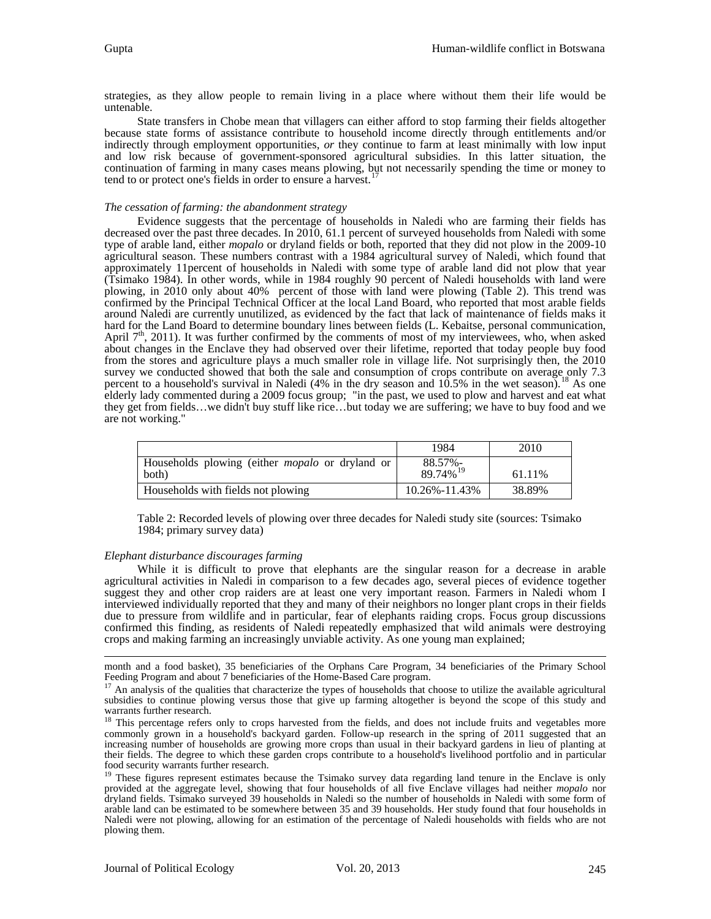strategies, as they allow people to remain living in a place where without them their life would be untenable.

State transfers in Chobe mean that villagers can either afford to stop farming their fields altogether because state forms of assistance contribute to household income directly through entitlements and/or indirectly through employment opportunities, *or* they continue to farm at least minimally with low input and low risk because of government-sponsored agricultural subsidies. In this latter situation, the continuation of farming in many cases means plowing, but not necessarily spending the time or money to tend to or protect one's fields in order to ensure a harvest.<sup>1</sup>

#### *The cessation of farming: the abandonment strategy*

Evidence suggests that the percentage of households in Naledi who are farming their fields has decreased over the past three decades. In 2010, 61.1 percent of surveyed households from Naledi with some type of arable land, either *mopalo* or dryland fields or both, reported that they did not plow in the 2009-10 agricultural season. These numbers contrast with a 1984 agricultural survey of Naledi, which found that approximately 11percent of households in Naledi with some type of arable land did not plow that year (Tsimako 1984). In other words, while in 1984 roughly 90 percent of Naledi households with land were plowing, in 2010 only about 40% percent of those with land were plowing (Table 2). This trend was confirmed by the Principal Technical Officer at the local Land Board, who reported that most arable fields around Naledi are currently unutilized, as evidenced by the fact that lack of maintenance of fields maks it hard for the Land Board to determine boundary lines between fields (L. Kebaitse, personal communication, April 7<sup>th</sup>, 2011). It was further confirmed by the comments of most of my interviewees, who, when asked about changes in the Enclave they had observed over their lifetime, reported that today people buy food from the stores and agriculture plays a much smaller role in village life. Not surprisingly then, the 2010 survey we conducted showed that both the sale and consumption of crops contribute on average only 7.3 percent to a household's survival in Naledi (4% in the dry season and  $10.5\%$  in the wet season).<sup>[18](#page-7-1)</sup> As one elderly lady commented during a 2009 focus group; "in the past, we used to plow and harvest and eat what they get from fields…we didn't buy stuff like rice…but today we are suffering; we have to buy food and we are not working."

|                                                                 | 1984                            | 2010   |
|-----------------------------------------------------------------|---------------------------------|--------|
| Households plowing (either <i>mopalo</i> or dryland or<br>both) | 88.57%-<br>89.74% <sup>19</sup> | 61.11% |
| Households with fields not plowing                              | 10.26%-11.43%                   | 38.89% |

Table 2: Recorded levels of plowing over three decades for Naledi study site (sources: Tsimako 1984; primary survey data)

#### *Elephant disturbance discourages farming*

While it is difficult to prove that elephants are the singular reason for a decrease in arable agricultural activities in Naledi in comparison to a few decades ago, several pieces of evidence together suggest they and other crop raiders are at least one very important reason. Farmers in Naledi whom I interviewed individually reported that they and many of their neighbors no longer plant crops in their fields due to pressure from wildlife and in particular, fear of elephants raiding crops. Focus group discussions confirmed this finding, as residents of Naledi repeatedly emphasized that wild animals were destroying crops and making farming an increasingly unviable activity. As one young man explained;

 $\overline{a}$ month and a food basket), 35 beneficiaries of the Orphans Care Program, 34 beneficiaries of the Primary School Feeding Program and about 7 beneficiaries of the Home-Based Care program.

<span id="page-7-0"></span> $F<sup>17</sup>$  An analysis of the qualities that characterize the types of households that choose to utilize the available agricultural subsidies to continue plowing versus those that give up farming altogether is beyond the scope of this study and warrants further research.

<span id="page-7-1"></span><sup>&</sup>lt;sup>18</sup> This percentage refers only to crops harvested from the fields, and does not include fruits and vegetables more commonly grown in a household's backyard garden. Follow-up research in the spring of 2011 suggested that an increasing number of households are growing more crops than usual in their backyard gardens in lieu of planting at their fields. The degree to which these garden crops contribute to a household's livelihood portfolio and in particular food security warrants further research.

<span id="page-7-2"></span><sup>&</sup>lt;sup>19</sup> These figures represent estimates because the Tsimako survey data regarding land tenure in the Enclave is only provided at the aggregate level, showing that four households of all five Enclave villages had neither *m* dryland fields. Tsimako surveyed 39 households in Naledi so the number of households in Naledi with some form of arable land can be estimated to be somewhere between 35 and 39 households. Her study found that four households in Naledi were not plowing, allowing for an estimation of the percentage of Naledi households with fields who are not plowing them.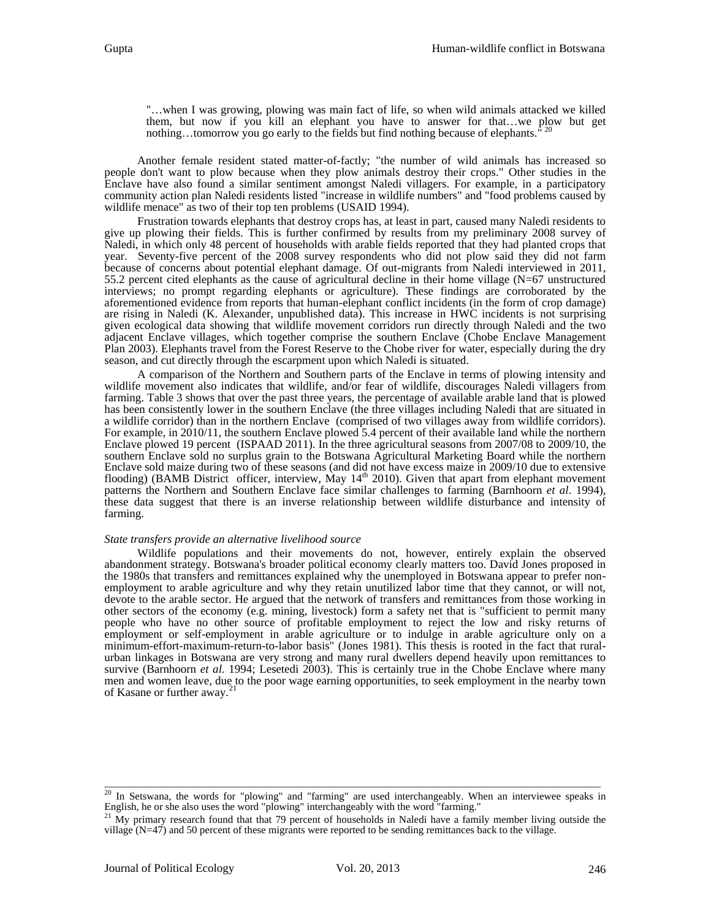"…when I was growing, plowing was main fact of life, so when wild animals attacked we killed them, but now if you kill an elephant you have to answer for that...we plow but get nothing...tomorrow you go early to the fields but find nothing because of elephants.

Another female resident stated matter-of-factly; "the number of wild animals has increased so people don't want to plow because when they plow animals destroy their crops." Other studies in the Enclave have also found a similar sentiment amongst Naledi villagers. For example, in a participatory community action plan Naledi residents listed "increase in wildlife numbers" and "food problems caused by wildlife menace" as two of their top ten problems (USAID 1994).

Frustration towards elephants that destroy crops has, at least in part, caused many Naledi residents to give up plowing their fields. This is further confirmed by results from my preliminary 2008 survey of Naledi, in which only 48 percent of households with arable fields reported that they had planted crops that year. Seventy-five percent of the 2008 survey respondents who did not plow said they did not farm because of concerns about potential elephant damage. Of out-migrants from Naledi interviewed in 2011, 55.2 percent cited elephants as the cause of agricultural decline in their home village (N=67 unstructured interviews; no prompt regarding elephants or agriculture). These findings are corroborated by the aforementioned evidence from reports that human-elephant conflict incidents (in the form of crop damage) are rising in Naledi (K. Alexander, unpublished data). This increase in HWC incidents is not surprising given ecological data showing that wildlife movement corridors run directly through Naledi and the two adjacent Enclave villages, which together comprise the southern Enclave (Chobe Enclave Management Plan 2003). Elephants travel from the Forest Reserve to the Chobe river for water, especially during the dry season, and cut directly through the escarpment upon which Naledi is situated.

A comparison of the Northern and Southern parts of the Enclave in terms of plowing intensity and wildlife movement also indicates that wildlife, and/or fear of wildlife, discourages Naledi villagers from farming. Table 3 shows that over the past three years, the percentage of available arable land that is plowed has been consistently lower in the southern Enclave (the three villages including Naledi that are situated in a wildlife corridor) than in the northern Enclave (comprised of two villages away from wildlife corridors). For example, in 2010/11, the southern Enclave plowed 5.4 percent of their available land while the northern Enclave plowed 19 percent (ISPAAD 2011). In the three agricultural seasons from 2007/08 to 2009/10, the southern Enclave sold no surplus grain to the Botswana Agricultural Marketing Board while the northern Enclave sold maize during two of these seasons (and did not have excess maize in 2009/10 due to extensive flooding) (BAMB District officer, interview, May  $14<sup>th</sup>$  2010). Given that apart from elephant movement patterns the Northern and Southern Enclave face similar challenges to farming (Barnhoorn *et al*. 1994), these data suggest that there is an inverse relationship between wildlife disturbance and intensity of farming.

#### *State transfers provide an alternative livelihood source*

Wildlife populations and their movements do not, however, entirely explain the observed abandonment strategy. Botswana's broader political economy clearly matters too. David Jones proposed in employment to arable agriculture and why they retain unutilized labor time that they cannot, or will not, devote to the arable sector. He argued that the network of transfers and remittances from those working in other sectors of the economy (e.g. mining, livestock) form a safety net that is "sufficient to permit many people who have no other source of profitable employment to reject the low and risky returns of employment or self-employment in arable agriculture or to indulge in arable agriculture only on a minimum-effort-maximum-return-to-labor basis" (Jones 1981). This thesis is rooted in the fact that ruralurban linkages in Botswana are very strong and many rural dwellers depend heavily upon remittances to survive (Barnhoorn *et al.* 1994; Lesetedi 2003). This is certainly true in the Chobe Enclave where many men and women leave, due to the poor wage earning opportunities, to seek employment in the nearby town of Kasane or further away.<sup>2</sup>

<span id="page-8-0"></span> $\overline{\phantom{a}}$  , and the contribution of the contribution of the contribution of the contribution of the contribution of the contribution of the contribution of the contribution of the contribution of the contribution of the <sup>20</sup> In Setswana, the words for "plowing" and "farming" are used interchangeably. When an interviewee speaks in English, he or she also uses the word "plowing" interchangeably with the word "farming."

<span id="page-8-1"></span> $21$  My primary research found that that 79 percent of households in Naledi have a family member living outside the village (N=47) and 50 percent of these migrants were reported to be sending remittances back to the village.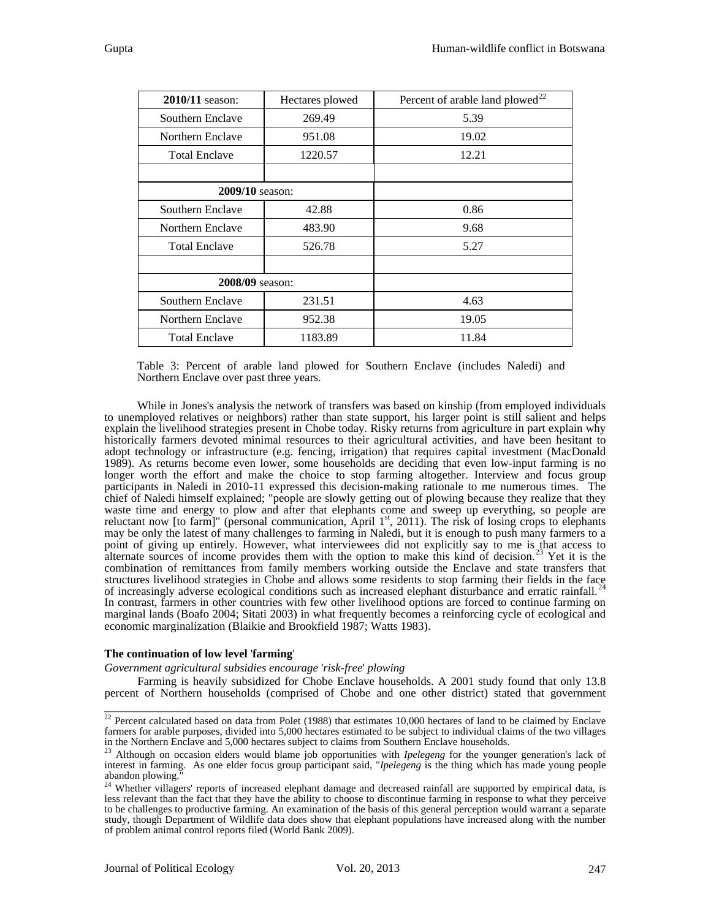| 2010/11 season:        | Hectares plowed | Percent of arable land plowed <sup>22</sup> |
|------------------------|-----------------|---------------------------------------------|
| Southern Enclave       | 269.49          | 5.39                                        |
| Northern Enclave       | 951.08          | 19.02                                       |
| <b>Total Enclave</b>   | 1220.57         | 12.21                                       |
|                        |                 |                                             |
| <b>2009/10</b> season: |                 |                                             |
| Southern Enclave       | 42.88           | 0.86                                        |
| Northern Enclave       | 483.90          | 9.68                                        |
| <b>Total Enclave</b>   | 526.78          | 5.27                                        |
|                        |                 |                                             |
| 2008/09 season:        |                 |                                             |
| Southern Enclave       | 231.51          | 4.63                                        |
| Northern Enclave       | 952.38          | 19.05                                       |
| <b>Total Enclave</b>   | 1183.89         | 11.84                                       |

Table 3: Percent of arable land plowed for Southern Enclave (includes Naledi) and Northern Enclave over past three years.

While in Jones's analysis the network of transfers was based on kinship (from employed individuals to unemployed relatives or neighbors) rather than state support, his larger point is still salient and helps explain the livelihood strategies present in Chobe today. Risky returns from agriculture in part explain why historically farmers devoted minimal resources to their agricultural activities, and have been hesitant to adopt technology or infrastructure (e.g. fencing, irrigation) that requires capital investment (MacDonald 1989). As returns become even lower, some households are deciding that even low-input farming is no longer worth the effort and make the choice to stop farming altogether. Interview and focus group participants in Naledi in 2010-11 expressed this decision-making rationale to me numerous times. The chief of Naledi himself explained; "people are slowly getting out of plowing because they realize that they waste time and energy to plow and after that elephants come and sweep up everything, so people are reluctant now [to farm]" (personal communication, April  $1<sup>st</sup>$ , 2011). The risk of losing crops to elephants may be only the latest of many challenges to farming in Naledi, but it is enough to push many farmers to a point of giving up entirely. However, what interviewees did not explicitly say to me is that access to alternate sources of income provides them with the option to make this kind of decision.<sup>[23](#page-9-1)</sup> Yet it is the combination of remittances from family members working outside the Enclave and state transfers that structures livelihood strategies in Chobe and allows some residents to stop farming their fields in the face of increasingly adverse ecological conditions such as increased elephant disturbance and erratic rainfall.<sup>[24](#page-9-2)</sup> In contrast, farmers in other countries with few other livelihood options are forced to continue farming on marginal lands (Boafo 2004; Sitati 2003) in what frequently becomes a reinforcing cycle of ecological and economic marginalization (Blaikie and Brookfield 1987; Watts 1983).

#### **The continuation of low level** '**farming**'

#### *Government agricultural subsidies encourage* '*risk-free*' *plowing*

Farming is heavily subsidized for Chobe Enclave households. A 2001 study found that only 13.8 percent of Northern households (comprised of Chobe and one other district) stated that government  $\overline{\phantom{a}}$  , and the contribution of the contribution of the contribution of the contribution of the contribution of the contribution of the contribution of the contribution of the contribution of the contribution of the

<span id="page-9-0"></span> $22$  Percent calculated based on data from Polet (1988) that estimates 10,000 hectares of land to be claimed by Enclave farmers for arable purposes, divided into 5,000 hectares estimated to be subject to individual claims of the two villages in the Northern Enclave and 5,000 hectares subject to claims from Southern Enclave households.

<span id="page-9-1"></span><sup>23</sup> Although on occasion elders would blame job opportunities with *Ipelegeng* for the younger generation's lack of interest in farming. As one elder focus group participant said, "*Ipelegeng* is the thing which has made young people abandon plowing.

<span id="page-9-2"></span><sup>&</sup>lt;sup>24</sup> Whether villagers' reports of increased elephant damage and decreased rainfall are supported by empirical data, is less relevant than the fact that they have the ability to choose to discontinue farming in response to what they perceive to be challenges to productive farming. An examination of the basis of this general perception would warrant a separate study, though Department of Wildlife data does show that elephant populations have increased along with the number of problem animal control reports filed (World Bank 2009).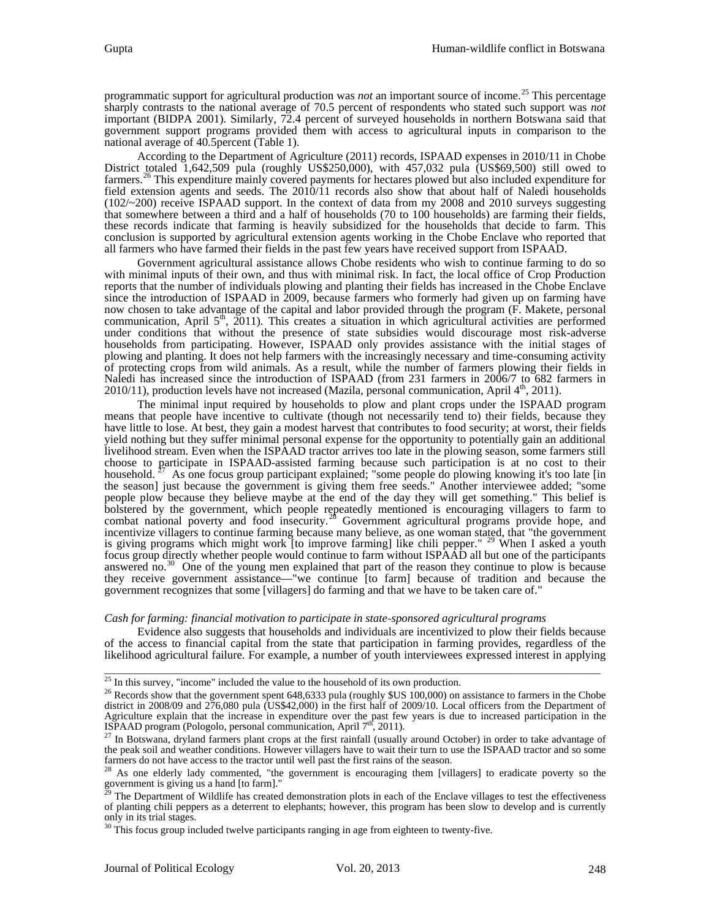programmatic support for agricultural production was *not* an important source of income.[25](#page-10-0) This percentage sharply contrasts to the national average of 70.5 percent of respondents who stated such support was *not* important (BIDPA 2001). Similarly, 72.4 percent of surveyed households in northern Botswana said that government support programs provided them with access to agricultural inputs in comparison to the national average of 40.5percent (Table 1).

According to the Department of Agriculture (2011) records, ISPAAD expenses in 2010/11 in Chobe District totaled  $1,642,509$  pula (roughly US\$250,000), with  $457,032$  pula (US\$69,500) still owed to farmers.<sup>[26](#page-10-1)</sup> This expenditure mainly covered payments for hectares plowed but also included expenditure for field extension agents and seeds. The 2010/11 records also show that about half of Naledi households  $(102/\sim200)$  receive ISPAAD support. In the context of data from my 2008 and 2010 surveys suggesting that somewhere between a third and a half of households (70 to 100 households) are farming their fields, these records indicate that farming is heavily subsidized for the households that decide to farm. This conclusion is supported by agricultural extension agents working in the Chobe Enclave who reported that all farmers who have farmed their fields in the past few years have received support from ISPAAD.

Government agricultural assistance allows Chobe residents who wish to continue farming to do so with minimal inputs of their own, and thus with minimal risk. In fact, the local office of Crop Production reports that the number of individuals plowing and planting their fields has increased in the Chobe Enclave since the introduction of ISPAAD in 2009, because farmers who formerly had given up on farming have now chosen to take advantage of the capital and labor provided through the program (F. Makete, personal communication, April  $5<sup>th</sup>$ , 2011). This creates a situation in which agricultural activities are performed under conditions that without the presence of state subsidies would discourage most risk-adverse households from participating. However, ISPAAD only provides assistance with the initial stages of plowing and planting. It does not help farmers with the increasingly necessary and time-consuming activity of protecting crops from wild animals. As a result, while the number of farmers plowing their fields in Naledi has increased since the introduction of ISPAAD (from 231 farmers in 2006/7 to 682 farmers in  $2010/11$ ), production levels have not increased (Mazila, personal communication, April  $4<sup>th</sup>$ , 2011).

The minimal input required by households to plow and plant crops under the ISPAAD program means that people have incentive to cultivate (though not necessarily tend to) their fields, because they have little to lose. At best, they gain a modest harvest that contributes to food security; at worst, their fields yield nothing but they suffer minimal personal expense for the opportunity to potentially gain an additional livelihood stream. Even when the ISPAAD tractor arrives too late in the plowing season, some farmers still choose to participate in ISPAAD-assisted farming because such participation is at no cost to their household.<sup>27</sup> As one focus group participant explained; "some people do plowing knowing it's too late [in As one focus group participant explained; "some people do plowing knowing it's too late [in] the season] just because the government is giving them free seeds." Another interviewee added; "some people plow because they believe maybe at the end of the day they will get something." This belief is bolstered by the government, which people repeatedly mentioned is encouraging villagers to farm to combat national poverty and food insecurity.<sup>[28](#page-10-3)</sup> Government agricultural programs provide hope, and incentivize villagers to continue farming because many believe, as one woman stated, that "the government is giving programs which might work [to improve farming] like chili pepper." <sup>[29](#page-10-4)</sup> When I asked a youth focus group directly whether people would continue to farm without ISPAAD all but one of the participants answered no.[30](#page-10-5) One of the young men explained that part of the reason they continue to plow is because they receive government assistance—"we continue [to farm] because of tradition and because the government recognizes that some [villagers] do farming and that we have to be taken care of."

#### *Cash for farming: financial motivation to participate in state-sponsored agricultural programs*

Evidence also suggests that households and individuals are incentivized to plow their fields because of the access to financial capital from the state that participation in farming provides, regardless of the likelihood agricultural failure. For example, a number of youth interviewees expressed interest in applying

<span id="page-10-1"></span><span id="page-10-0"></span><sup>&</sup>lt;sup>25</sup> In this survey, "income" included the value to the household of its own production.<br><sup>26</sup> Records show that the government spent 648,6333 pula (roughly \$US 100,000) on assistance to farmers in the Chobe district in 2008/09 and 276,080 pula (US\$42,000) in the first half of 2009/10. Local officers from the Department of Agriculture explain that the increase in expenditure over the past few years is due to increased participation in the ISPAAD program (Pologolo, personal communication, April  $7<sup>th</sup>$ , 2011).<br><sup>27</sup> In Botswana, dryland fa

<span id="page-10-2"></span> $27$  In Botswana, dryland farmers plant crops at the first rainfall (usually around October) in order to take advantage of the peak soil and weather conditions. However villagers have to wait their turn to use the ISPAAD farmers do not have access to the tractor until well past the first rains of the season.

<span id="page-10-3"></span> $28$  As one elderly lady commented, "the government is encouraging them [villagers] to eradicate poverty so the government is giving us a hand [to farm]."

<span id="page-10-4"></span> $29$  The Department of Wildlife has created demonstration plots in each of the Enclave villages to test the effectiveness of planting chili peppers as a deterrent to elephants; however, this program has been slow to develop and is currently only in its trial stages.

<span id="page-10-5"></span> $30$  This focus group included twelve participants ranging in age from eighteen to twenty-five.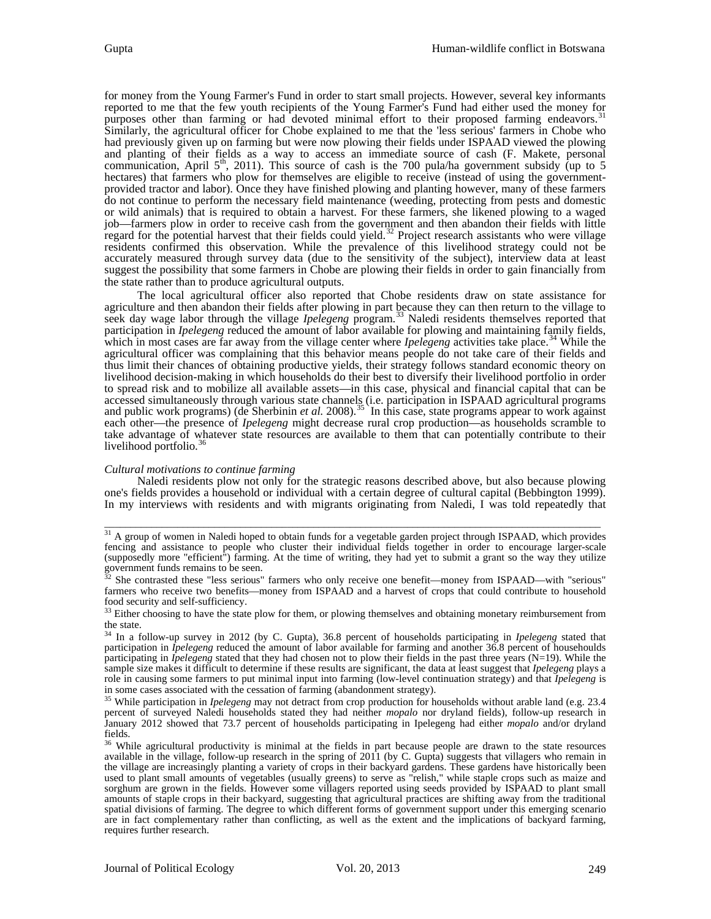for money from the Young Farmer's Fund in order to start small projects. However, several key informants reported to me that the few youth recipients of the Young Farmer's Fund had either used the money for purposes other than farming or had devoted minimal effort to their proposed farming endeavors.<sup>3</sup> Similarly, the agricultural officer for Chobe explained to me that the 'less serious' farmers in Chobe who had previously given up on farming but were now plowing their fields under ISPAAD viewed the plowing and planting of their fields as a way to access an immediate source of cash (F. Makete, personal communication, April  $5<sup>th</sup>$ , 2011). This source of cash is the 700 pula/ha government subsidy (up to 5 hectares) that farmers who plow for themselves are eligible to receive (instead of using the governmentprovided tractor and labor). Once they have finished plowing and planting however, many of these farmers do not continue to perform the necessary field maintenance (weeding, protecting from pests and domestic or wild animals) that is required to obtain a harvest. For these farmers, she likened plowing to a waged job—farmers plow in order to receive cash from the government and then abandon their fields with little regard for the potential harvest that their fields could yield.<sup>[32](#page-11-1)</sup> Project research assistants who were village residents confirmed this observation. While the prevalence of this livelihood strategy could not be accurately measured through survey data (due to the sensitivity of the subject), interview data at least suggest the possibility that some farmers in Chobe are plowing their fields in order to gain financially from the state rather than to produce agricultural outputs.

The local agricultural officer also reported that Chobe residents draw on state assistance for agriculture and then abandon their fields after plowing in part because they can then return to the village to seek day wage labor through the village *Ipelegeng* program.<sup>[33](#page-11-2)</sup> Naledi residents themselves reported that participation in *Ipelegeng* reduced the amount of labor available for plowing and maintaining family fields, which in most cases are far away from the village center where *Ipelegeng* activities take place.<sup>[34](#page-11-3)</sup> While the agricultural officer was complaining that this behavior means people do not take care of their fields and thus limit their chances of obtaining productive yields, their strategy follows standard economic theory on livelihood decision-making in which households do their best to diversify their livelihood portfolio in order to spread risk and to mobilize all available assets—in this case, physical and financial capital that can be accessed simultaneously through various state channels (i.e. participation in ISPAAD agricultural programs and public work programs) (de Sherbinin *et al.* 2008).<sup>[35](#page-11-4)</sup> In this case, state programs appear to work against each other—the presence of *Ipelegeng* might decrease rural crop production—as households scramble to take advantage of whatever state resources are available to them that can potentially contribute to their livelihood portfolio.<sup>[36](#page-11-5)</sup>

#### *Cultural motivations to continue farming*

Naledi residents plow not only for the strategic reasons described above, but also because plowing one's fields provides a household or individual with a certain degree of cultural capital (Bebbington 1999). In my interviews with residents and with migrants originating from Naledi, I was told repeatedly that

<span id="page-11-0"></span><sup>&</sup>lt;sup>31</sup> A group of women in Naledi hoped to obtain funds for a vegetable garden project through ISPAAD, which provides fencing and assistance to people who cluster their individual fields together in order to encourage larger-scale (supposedly more "efficient") farming. At the time of writing, they had yet to submit a grant so the way they utilize government funds remains to be seen.

<span id="page-11-1"></span> $32$  She contrasted these "less serious" farmers who only receive one benefit—money from ISPAAD—with "serious" farmers who receive two benefits—money from ISPAAD and a harvest of crops that could contribute to household food security and self-sufficiency.

<span id="page-11-2"></span><sup>&</sup>lt;sup>33</sup> Either choosing to have the state plow for them, or plowing themselves and obtaining monetary reimbursement from the state.

<span id="page-11-3"></span><sup>34</sup> In a follow-up survey in 2012 (by C. Gupta), 36.8 percent of households participating in *Ipelegeng* stated that participation in *Ipelegeng* reduced the amount of labor available for farming and another 36.8 percent of househoulds participating in *Ipelegeng* stated that they had chosen not to plow their fields in the past three years (N=19). While the sample size makes it difficult to determine if these results are significant, the data at least suggest that *Ipelegeng* plays a role in causing some farmers to put minimal input into farming (low-level continuation strategy) and that *Ipelegeng* is in some cases associated with the cessation of farming (abandonment strategy).

<span id="page-11-4"></span><sup>&</sup>lt;sup>35</sup> While participation in *Ipelegeng* may not detract from crop production for households without arable land (e.g. 23.4 percent of surveyed Naledi households stated they had neither *mopalo* nor dryland fields), follow-up research in January 2012 showed that 73.7 percent of households participating in Ipelegeng had either *mopalo* and/or dryland

<span id="page-11-5"></span><sup>&</sup>lt;sup>36</sup> While agricultural productivity is minimal at the fields in part because people are drawn to the state resources available in the village, follow-up research in the spring of 2011 (by C. Gupta) suggests that villagers who remain in the village are increasingly planting a variety of crops in their backyard gardens. These gardens have historically been used to plant small amounts of vegetables (usually greens) to serve as "relish," while staple crops such as maize and sorghum are grown in the fields. However some villagers reported using seeds provided by ISPAAD to plant small amounts of staple crops in their backyard, suggesting that agricultural practices are shifting away from the traditional spatial divisions of farming. The degree to which different forms of government support under this emerging scenario are in fact complementary rather than conflicting, as well as the extent and the implications of backyard farming, requires further research.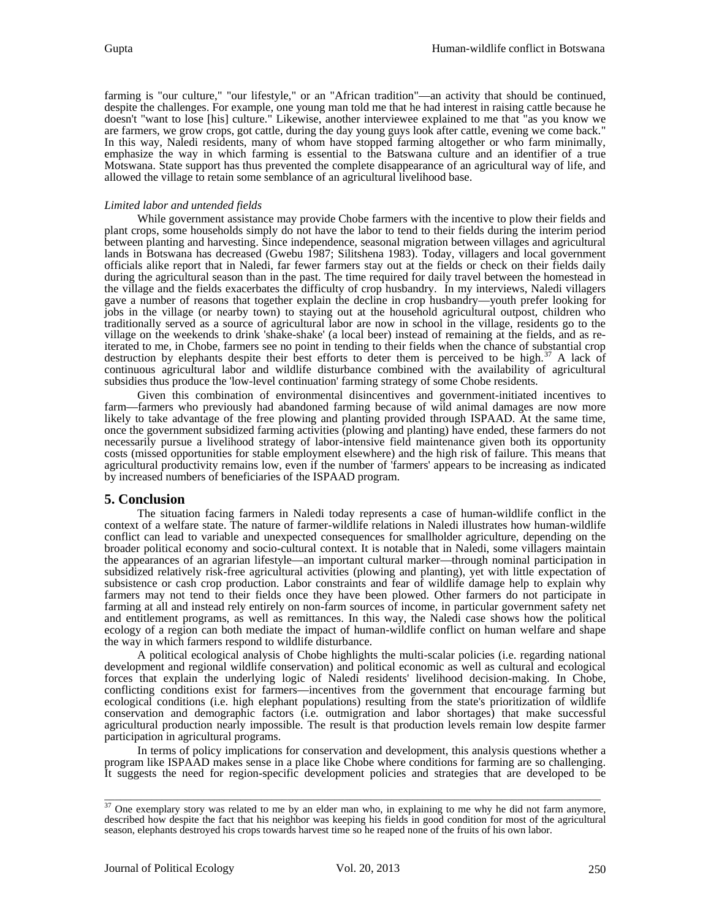farming is "our culture," "our lifestyle," or an "African tradition"—an activity that should be continued, despite the challenges. For example, one young man told me that he had interest in raising cattle because he doesn't "want to lose [his] culture." Likewise, another interviewee explained to me that "as you know we are farmers, we grow crops, got cattle, during the day young guys look after cattle, evening we come back." In this way, Naledi residents, many of whom have stopped farming altogether or who farm minimally, emphasize the way in which farming is essential to the Batswana culture and an identifier of a true Motswana. State support has thus prevented the complete disappearance of an agricultural way of life, and allowed the village to retain some semblance of an agricultural livelihood base.

### *Limited labor and untended fields*

While government assistance may provide Chobe farmers with the incentive to plow their fields and plant crops, some households simply do not have the labor to tend to their fields during the interim period between planting and harvesting. Since independence, seasonal migration between villages and agricultural lands in Botswana has decreased (Gwebu 1987; Silitshena 1983). Today, villagers and local government officials alike report that in Naledi, far fewer farmers stay out at the fields or check on their fields daily during the agricultural season than in the past. The time required for daily travel between the homestead in the village and the fields exacerbates the difficulty of crop husbandry. In my interviews, Naledi villagers gave a number of reasons that together explain the decline in crop husbandry—youth prefer looking for jobs in the village (or nearby town) to staying out at the household agricultural outpost, children who traditionally served as a source of agricultural labor are now in school in the village, residents go to the iterated to me, in Chobe, farmers see no point in tending to their fields when the chance of substantial crop destruction by elephants despite their best efforts to deter them is perceived to be high.<sup>[37](#page-12-0)</sup> A lack of continuous agricultural labor and wildlife disturbance combined with the availability of agricultural subsidies thus produce the 'low-level continuation' farming strategy of some Chobe residents.

Given this combination of environmental disincentives and government-initiated incentives to farm—farmers who previously had abandoned farming because of wild animal damages are now more likely to take advantage of the free plowing and planting provided through ISPAAD. At the same time, once the government subsidized farming activities (plowing and planting) have ended, these farmers do not necessarily pursue a livelihood strategy of labor-intensive field maintenance given both its opportunity costs (missed opportunities for stable employment elsewhere) and the high risk of failure. This means that agricultural productivity remains low, even if the number of 'farmers' appears to be increasing as indicated by increased numbers of beneficiaries of the ISPAAD program.

# **5. Conclusion**

The situation facing farmers in Naledi today represents a case of human-wildlife conflict in the context of a welfare state. The nature of farmer-wildlife relations in Naledi illustrates how human-wildlife conflict can lead to variable and unexpected consequences for smallholder agriculture, depending on the broader political economy and socio-cultural context. It is notable that in Naledi, some villagers maintain the appearances of an agrarian lifestyle—an important cultural marker—through nominal participation in subsidized relatively risk-free agricultural activities (plowing and planting), yet with little expectation of subsistence or cash crop production. Labor constraints and fear of wildlife damage help to explain why farmers may not tend to their fields once they have been plowed. Other farmers do not participate in farming at all and instead rely entirely on non-farm sources of income, in particular government safety net and entitlement programs, as well as remittances. In this way, the Naledi case shows how the political ecology of a region can both mediate the impact of human-wildlife conflict on human welfare and shape the way in which farmers respond to wildlife disturbance.

A political ecological analysis of Chobe highlights the multi-scalar policies (i.e. regarding national development and regional wildlife conservation) and political economic as well as cultural and ecological forces that explain the underlying logic of Naledi residents' livelihood decision-making. In Chobe, conflicting conditions exist for farmers—incentives from the government that encourage farming but ecological conditions (i.e. high elephant populations) resulting from the state's prioritization of wildlife conservation and demographic factors (i.e. outmigration and labor shortages) that make successful agricultural production nearly impossible. The result is that production levels remain low despite farmer participation in agricultural programs.

In terms of policy implications for conservation and development, this analysis questions whether a program like ISPAAD makes sense in a place like Chobe where conditions for farming are so challenging. It suggests the need for region-specific development policies and strategies that are developed to be

<span id="page-12-0"></span> $37$  One exemplary story was related to me by an elder man who, in explaining to me why he did not farm anymore, described how despite the fact that his neighbor was keeping his fields in good condition for most of the agricultural season, elephants destroyed his crops towards harvest time so he reaped none of the fruits of his own labor.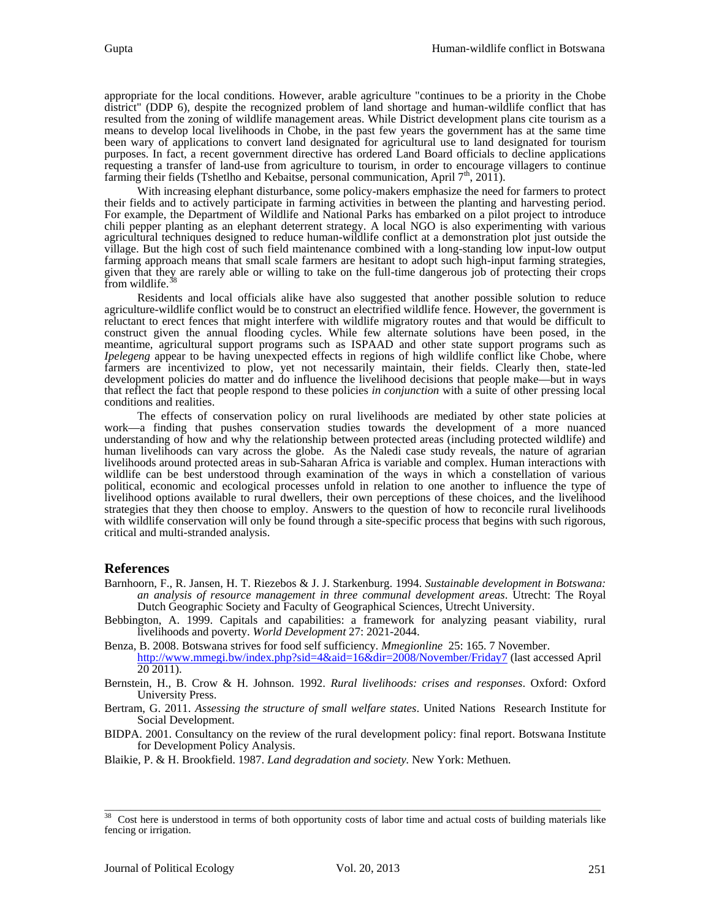appropriate for the local conditions. However, arable agriculture "continues to be a priority in the Chobe district" (DDP 6), despite the recognized problem of land shortage and human-wildlife conflict that has resulted from the zoning of wildlife management areas. While District development plans cite tourism as a means to develop local livelihoods in Chobe, in the past few years the government has at the same time been wary of applications to convert land designated for agricultural use to land designated for tourism purposes. In fact, a recent government directive has ordered Land Board officials to decline applications requesting a transfer of land-use from agriculture to tourism, in order to encourage villagers to continue farming their fields (Tshetlho and Kebaitse, personal communication, April  $7<sup>th</sup>$ , 2011).

With increasing elephant disturbance, some policy-makers emphasize the need for farmers to protect their fields and to actively participate in farming activities in between the planting and harvesting period. For example, the Department of Wildlife and National Parks has embarked on a pilot project to introduce chili pepper planting as an elephant deterrent strategy. A local NGO is also experimenting with various agricultural techniques designed to reduce human-wildlife conflict at a demonstration plot just outside the village. But the high cost of such field maintenance combined with a long-standing low input-low output farming approach means that small scale farmers are hesitant to adopt such high-input farming strategies, given that they are rarely able or willing to take on the full-time dangerous job of protecting their crops from wildlife.<sup>3</sup>

Residents and local officials alike have also suggested that another possible solution to reduce agriculture-wildlife conflict would be to construct an electrified wildlife fence. However, the government is reluctant to erect fences that might interfere with wildlife migratory routes and that would be difficult to construct given the annual flooding cycles. While few alternate solutions have been posed, in the meantime, agricultural support programs such as ISPAAD and other state support programs such as *Ipelegeng* appear to be having unexpected effects in regions of high wildlife conflict like Chobe, where farmers are incentivized to plow, yet not necessarily maintain, their fields. Clearly then, state-led development policies do matter and do influence the livelihood decisions that people make—but in ways that reflect the fact that people respond to these policies *in conjunction* with a suite of other pressing local conditions and realities.

The effects of conservation policy on rural livelihoods are mediated by other state policies at work—a finding that pushes conservation studies towards the development of a more nuanced understanding of how and why the relationship between protected areas (including protected wildlife) and human livelihoods can vary across the globe. As the Naledi case study reveals, the nature of agrarian livelihoods around protected areas in sub-Saharan Africa is variable and complex. Human interactions with wildlife can be best understood through examination of the ways in which a constellation of various political, economic and ecological processes unfold in relation to one another to influence the type of livelihood options available to rural dwellers, their own perceptions of these choices, and the livelihood strategies that they then choose to employ. Answers to the question of how to reconcile rural livelihoods with wildlife conservation will only be found through a site-specific process that begins with such rigorous, critical and multi-stranded analysis.

# **References**

- Barnhoorn, F., R. Jansen, H. T. Riezebos & J. J. Starkenburg. 1994. *Sustainable development in Botswana: an analysis of resource management in three communal development areas*. Utrecht: The Royal Dutch Geographic Society and Faculty of Geographical Sciences, Utrecht University.
- Bebbington, A. 1999. Capitals and capabilities: a framework for analyzing peasant viability, rural livelihoods and poverty. *World Development* 27: 2021-2044.
- Benza, B. 2008. Botswana strives for food self sufficiency. *Mmegionline* 25: 165. 7 November. <http://www.mmegi.bw/index.php?sid=4&aid=16&dir=2008/November/Friday7> (last accessed April  $\overline{20\,2011}$ .
- Bernstein, H., B. Crow & H. Johnson. 1992. *Rural livelihoods: crises and responses*. Oxford: Oxford University Press.
- Bertram, G. 2011. *Assessing the structure of small welfare states*. United Nations Research Institute for Social Development.

BIDPA. 2001. Consultancy on the review of the rural development policy: final report. Botswana Institute for Development Policy Analysis.

Blaikie, P. & H. Brookfield. 1987. *Land degradation and society.* New York: Methuen.

<span id="page-13-0"></span> $\overline{\phantom{a}}$  , and the contribution of the contribution of the contribution of the contribution of the contribution of the contribution of the contribution of the contribution of the contribution of the contribution of the  $\frac{38}{38}$  Cost here is understood in terms of both opportunity costs of labor time and actual costs of building materials like fencing or irrigation.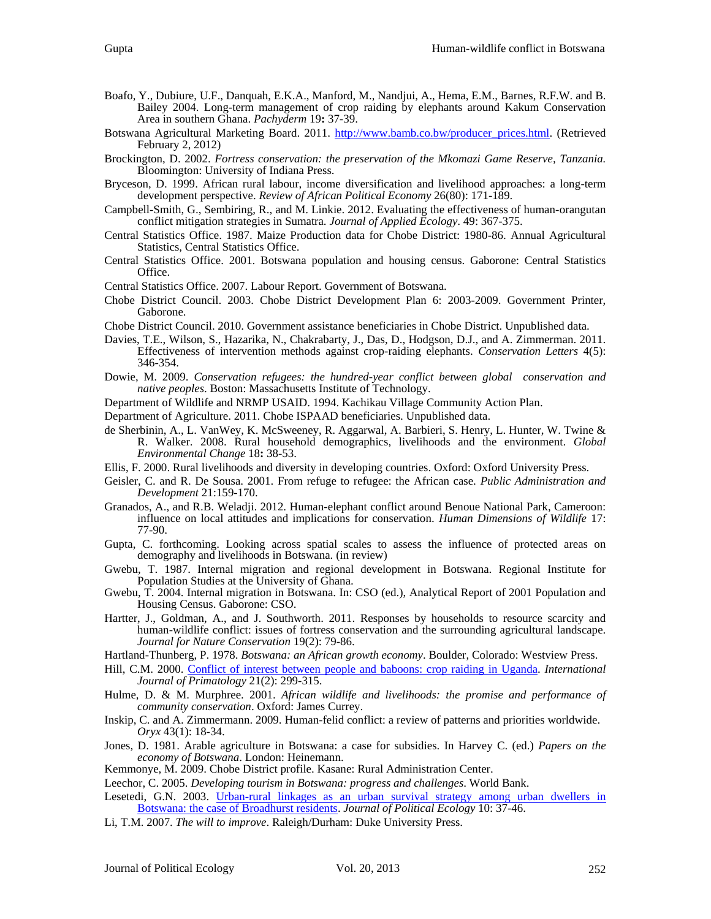- 
- Boafo, Y., Dubiure, U.F., Danquah, E.K.A., Manford, M., Nandjui, A., Hema, E.M., Barnes, R.F.W. and B. Bailey 2004. Long-term management of crop raiding by elephants around Kakum Conservation Area in southern Ghana. *Pachyderm* 19**:** 37-39.
- Botswana Agricultural Marketing Board. 2011. [http://www.bamb.co.bw/producer\\_prices.html.](http://www.bamb.co.bw/producer_prices.html) (Retrieved February 2, 2012)
- Brockington, D. 2002. *Fortress conservation: the preservation of the Mkomazi Game Reserve, Tanzania.* Bloomington: University of Indiana Press.
- Bryceson, D. 1999. African rural labour, income diversification and livelihood approaches: a long-term development perspective. *Review of African Political Economy* 26(80): 171-189.
- Campbell-Smith, G., Sembiring, R., and M. Linkie. 2012. Evaluating the effectiveness of human-orangutan conflict mitigation strategies in Sumatra. *Journal of Applied Ecology*. 49: 367-375.
- Central Statistics Office. 1987. Maize Production data for Chobe District: 1980-86. Annual Agricultural Statistics, Central Statistics Office.
- Central Statistics Office. 2001. Botswana population and housing census. Gaborone: Central Statistics Office.
- Central Statistics Office. 2007. Labour Report. Government of Botswana.
- Chobe District Council. 2003. Chobe District Development Plan 6: 2003-2009. Government Printer, Gaborone.
- Chobe District Council. 2010. Government assistance beneficiaries in Chobe District. Unpublished data.
- Davies, T.E., Wilson, S., Hazarika, N., Chakrabarty, J., Das, D., Hodgson, D.J., and A. Zimmerman. 2011. Effectiveness of intervention methods against crop-raiding elephants. *Conservation Letters* 4(5): 346-354.
- Dowie, M. 2009. *Conservation refugees: the hundred-year conflict between global conservation and native peoples*. Boston: Massachusetts Institute of Technology.
- Department of Wildlife and NRMP USAID. 1994. Kachikau Village Community Action Plan.
- Department of Agriculture. 2011. Chobe ISPAAD beneficiaries. Unpublished data.
- de Sherbinin, A., L. VanWey, K. McSweeney, R. Aggarwal, A. Barbieri, S. Henry, L. Hunter, W. Twine & R. Walker. 2008. Rural household demographics, livelihoods and the environment. *Global Environmental Change* 18**:** 38-53.
- Ellis, F. 2000. Rural livelihoods and diversity in developing countries. Oxford: Oxford University Press.
- Geisler, C. and R. De Sousa. 2001. From refuge to refugee: the African case. *Public Administration and Development* 21:159-170.
- Granados, A., and R.B. Weladji. 2012. Human-elephant conflict around Benoue National Park, Cameroon: influence on local attitudes and implications for conservation. *Human Dimensions of Wildlife* 17: 77-90.
- Gupta, C. forthcoming. Looking across spatial scales to assess the influence of protected areas on demography and livelihoods in Botswana. (in review)
- Gwebu, T. 1987. Internal migration and regional development in Botswana. Regional Institute for Population Studies at the University of Ghana.
- Gwebu, T. 2004. Internal migration in Botswana. In: CSO (ed.), Analytical Report of 2001 Population and Housing Census. Gaborone: CSO.
- Hartter, J., Goldman, A., and J. Southworth. 2011. Responses by households to resource scarcity and human-wildlife conflict: issues of fortress conservation and the surrounding agricultural landscape. *Journal for Nature Conservation* 19(2): 79-86.
- Hartland-Thunberg, P. 1978. *Botswana: an African growth economy*. Boulder, Colorado: Westview Press.
- Hill, C.M. 2000. [Conflict of interest between people and baboons: crop raiding in Uganda.](http://sanrem.cals.vt.edu/1048/Conflict%20of%20Interest%20Between%20People%20and%20Baboons.pdf) *International Journal of Primatology* 21(2): 299-315.
- Hulme, D. & M. Murphree. 2001. *African wildlife and livelihoods: the promise and performance of community conservation*. Oxford: James Currey.
- Inskip, C. and A. Zimmermann. 2009. Human-felid conflict: a review of patterns and priorities worldwide. *Oryx* 43(1): 18-34.
- Jones, D. 1981. Arable agriculture in Botswana: a case for subsidies. In Harvey C. (ed.) *Papers on the economy of Botswana*. London: Heinemann.
- Kemmonye, M. 2009. Chobe District profile. Kasane: Rural Administration Center.
- Leechor, C. 2005. *Developing tourism in Botswana: progress and challenges*. World Bank.
- Lesetedi, G.N. 2003. [Urban-rural linkages as an urban survival strategy among urban dwellers in](http://jpe.library.arizona.edu/volume_10/Lesetedi2003.pdf)  [Botswana: the case of Broadhurst residents.](http://jpe.library.arizona.edu/volume_10/Lesetedi2003.pdf) *Journal of Political Ecology* 10: 37-46.
- Li, T.M. 2007. *The will to improve*. Raleigh/Durham: Duke University Press.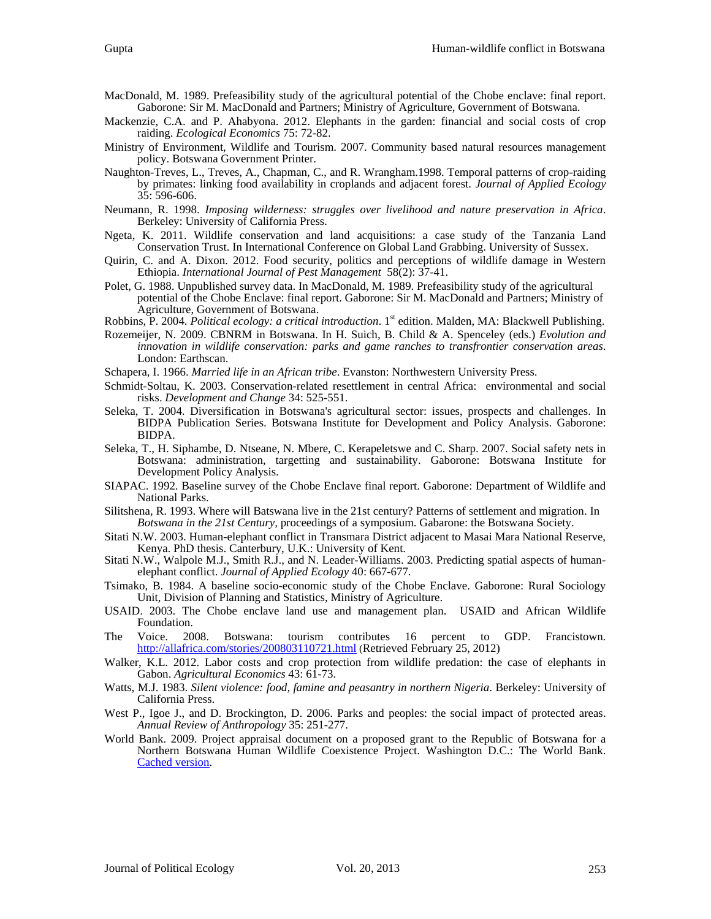- MacDonald, M. 1989. Prefeasibility study of the agricultural potential of the Chobe enclave: final report. Gaborone: Sir M. MacDonald and Partners; Ministry of Agriculture, Government of Botswana.
- Mackenzie, C.A. and P. Ahabyona. 2012. Elephants in the garden: financial and social costs of crop raiding. *Ecological Economics* 75: 72-82.
- Ministry of Environment, Wildlife and Tourism. 2007. Community based natural resources management policy. Botswana Government Printer.
- Naughton-Treves, L., Treves, A., Chapman, C., and R. Wrangham.1998. Temporal patterns of crop-raiding by primates: linking food availability in croplands and adjacent forest. *Journal of Applied Ecology* 35: 596-606.
- Neumann, R. 1998. *Imposing wilderness: struggles over livelihood and nature preservation in Africa*. Berkeley: University of California Press.
- Ngeta, K. 2011. Wildlife conservation and land acquisitions: a case study of the Tanzania Land Conservation Trust. In International Conference on Global Land Grabbing. University of Sussex.
- Quirin, C. and A. Dixon. 2012. Food security, politics and perceptions of wildlife damage in Western Ethiopia. *International Journal of Pest Management* 58(2): 37-41.
- Polet, G. 1988. Unpublished survey data. In MacDonald, M. 1989. Prefeasibility study of the agricultural potential of the Chobe Enclave: final report. Gaborone: Sir M. MacDonald and Partners; Ministry of Agriculture, Government of Botswana.
- Robbins, P. 2004. *Political ecology: a critical introduction*. 1<sup>st</sup> edition. Malden, MA: Blackwell Publishing.
- Rozemeijer, N. 2009. CBNRM in Botswana. In H. Suich, B. Child & A. Spenceley (eds.) *Evolution and innovation in wildlife conservation: parks and game ranches to transfrontier conservation areas*. London: Earthscan.
- Schapera, I. 1966. *Married life in an African tribe*. Evanston: Northwestern University Press.
- Schmidt-Soltau, K. 2003. Conservation-related resettlement in central Africa: environmental and social risks. *Development and Change* 34: 525-551.
- Seleka, T. 2004. Diversification in Botswana's agricultural sector: issues, prospects and challenges. In BIDPA Publication Series. Botswana Institute for Development and Policy Analysis. Gaborone: BIDPA.
- Seleka, T., H. Siphambe, D. Ntseane, N. Mbere, C. Kerapeletswe and C. Sharp. 2007. Social safety nets in Botswana: administration, targetting and sustainability. Gaborone: Botswana Institute for Development Policy Analysis.
- SIAPAC. 1992. Baseline survey of the Chobe Enclave final report. Gaborone: Department of Wildlife and National Parks.
- Silitshena, R. 1993. Where will Batswana live in the 21st century? Patterns of settlement and migration. In *Botswana in the 21st Century,* proceedings of a symposium. Gabarone: the Botswana Society.
- Sitati N.W. 2003. Human-elephant conflict in Transmara District adjacent to Masai Mara National Reserve, Kenya. PhD thesis. Canterbury, U.K.: University of Kent.
- Sitati N.W., Walpole M.J., Smith R.J., and N. Leader-Williams. 2003. Predicting spatial aspects of humanelephant conflict. *Journal of Applied Ecology* 40: 667-677.
- Tsimako, B. 1984. A baseline socio-economic study of the Chobe Enclave. Gaborone: Rural Sociology Unit, Division of Planning and Statistics, Ministry of Agriculture.
- USAID. 2003. The Chobe enclave land use and management plan. USAID and African Wildlife Foundation.
- The Voice. 2008. Botswana: tourism contributes 16 percent to GDP. Francistown. <http://allafrica.com/stories/200803110721.html> (Retrieved February 25, 2012)
- Walker, K.L. 2012. Labor costs and crop protection from wildlife predation: the case of elephants in Gabon. *Agricultural Economics* 43: 61-73.
- Watts, M.J. 1983. *Silent violence: food, famine and peasantry in northern Nigeria*. Berkeley: University of California Press.
- West P., Igoe J., and D. Brockington, D. 2006. Parks and peoples: the social impact of protected areas. *Annual Review of Anthropology* 35: 251-277.
- World Bank. 2009. Project appraisal document on a proposed grant to the Republic of Botswana for a Northern Botswana Human Wildlife Coexistence Project. Washington D.C.: The World Bank. [Cached version.](http://webcache.googleusercontent.com/search?q=cache:rzi-TCmfV-8J:www-wds.worldbank.org/external/default/WDSContentServer/WDSP/IB/2009/11/05/000334955_20091106001722/Rendered/INDEX/499530PAD0P095101Official0Use0Only1.txt+&cd=1&hl=en&ct=clnk&gl=au)